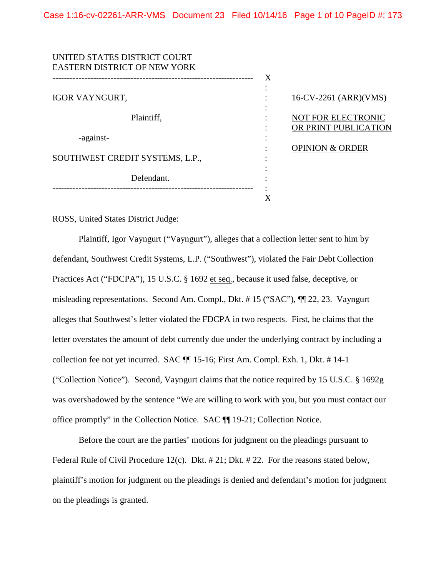| UNITED STATES DISTRICT COURT        |   |                            |
|-------------------------------------|---|----------------------------|
| <b>EASTERN DISTRICT OF NEW YORK</b> |   |                            |
|                                     | X |                            |
|                                     |   |                            |
| <b>IGOR VAYNGURT,</b>               |   | 16-CV-2261 (ARR)(VMS)      |
|                                     |   |                            |
| Plaintiff,                          |   | NOT FOR ELECTRONIC         |
|                                     |   | OR PRINT PUBLICATION       |
| -against-                           |   |                            |
|                                     |   | <b>OPINION &amp; ORDER</b> |
| SOUTHWEST CREDIT SYSTEMS, L.P.,     |   |                            |
|                                     |   |                            |
| Defendant.                          |   |                            |
|                                     |   |                            |
|                                     |   |                            |

ROSS, United States District Judge:

Plaintiff, Igor Vayngurt ("Vayngurt"), alleges that a collection letter sent to him by defendant, Southwest Credit Systems, L.P. ("Southwest"), violated the Fair Debt Collection Practices Act ("FDCPA"), 15 U.S.C. § 1692 et seq., because it used false, deceptive, or misleading representations. Second Am. Compl., Dkt. # 15 ("SAC"), ¶¶ 22, 23. Vayngurt alleges that Southwest's letter violated the FDCPA in two respects. First, he claims that the letter overstates the amount of debt currently due under the underlying contract by including a collection fee not yet incurred. SAC ¶¶ 15-16; First Am. Compl. Exh. 1, Dkt. # 14-1 ("Collection Notice"). Second, Vayngurt claims that the notice required by 15 U.S.C. § 1692g was overshadowed by the sentence "We are willing to work with you, but you must contact our office promptly" in the Collection Notice. SAC ¶¶ 19-21; Collection Notice.

Before the court are the parties' motions for judgment on the pleadings pursuant to Federal Rule of Civil Procedure 12(c). Dkt.  $\# 21$ ; Dkt.  $\# 22$ . For the reasons stated below, plaintiff's motion for judgment on the pleadings is denied and defendant's motion for judgment on the pleadings is granted.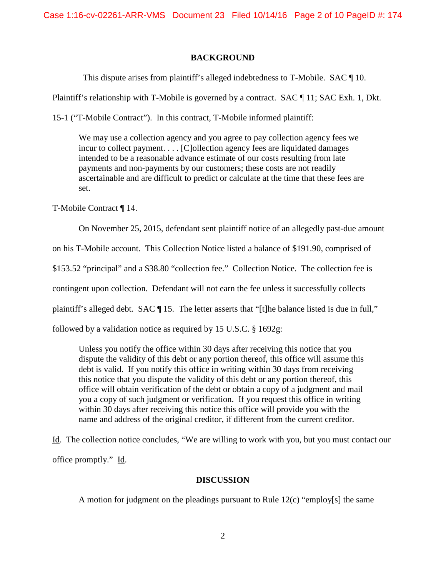Case 1:16-cv-02261-ARR-VMS Document 23 Filed 10/14/16 Page 2 of 10 PageID #: 174

## **BACKGROUND**

This dispute arises from plaintiff's alleged indebtedness to T-Mobile. SAC ¶ 10.

Plaintiff's relationship with T-Mobile is governed by a contract. SAC ¶ 11; SAC Exh. 1, Dkt.

15-1 ("T-Mobile Contract"). In this contract, T-Mobile informed plaintiff:

We may use a collection agency and you agree to pay collection agency fees we incur to collect payment. . . . [C]ollection agency fees are liquidated damages intended to be a reasonable advance estimate of our costs resulting from late payments and non-payments by our customers; these costs are not readily ascertainable and are difficult to predict or calculate at the time that these fees are set.

T-Mobile Contract ¶ 14.

On November 25, 2015, defendant sent plaintiff notice of an allegedly past-due amount

on his T-Mobile account. This Collection Notice listed a balance of \$191.90, comprised of

\$153.52 "principal" and a \$38.80 "collection fee." Collection Notice. The collection fee is

contingent upon collection. Defendant will not earn the fee unless it successfully collects

plaintiff's alleged debt. SAC ¶ 15. The letter asserts that "[t]he balance listed is due in full,"

followed by a validation notice as required by 15 U.S.C. § 1692g:

Unless you notify the office within 30 days after receiving this notice that you dispute the validity of this debt or any portion thereof, this office will assume this debt is valid. If you notify this office in writing within 30 days from receiving this notice that you dispute the validity of this debt or any portion thereof, this office will obtain verification of the debt or obtain a copy of a judgment and mail you a copy of such judgment or verification. If you request this office in writing within 30 days after receiving this notice this office will provide you with the name and address of the original creditor, if different from the current creditor.

Id. The collection notice concludes, "We are willing to work with you, but you must contact our office promptly." Id.

### **DISCUSSION**

A motion for judgment on the pleadings pursuant to Rule 12(c) "employ[s] the same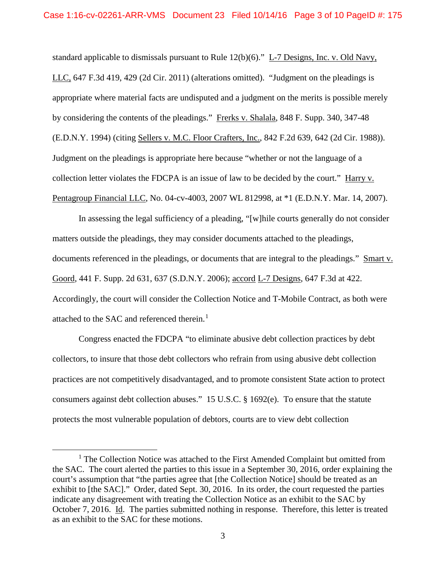standard applicable to dismissals pursuant to Rule 12(b)(6)." L-7 Designs, Inc. v. Old Navy, LLC, 647 F.3d 419, 429 (2d Cir. 2011) (alterations omitted). "Judgment on the pleadings is appropriate where material facts are undisputed and a judgment on the merits is possible merely by considering the contents of the pleadings." Frerks v. Shalala, 848 F. Supp. 340, 347-48 (E.D.N.Y. 1994) (citing Sellers v. M.C. Floor Crafters, Inc., 842 F.2d 639, 642 (2d Cir. 1988)). Judgment on the pleadings is appropriate here because "whether or not the language of a collection letter violates the FDCPA is an issue of law to be decided by the court." Harry v. Pentagroup Financial LLC, No. 04-cv-4003, 2007 WL 812998, at \*1 (E.D.N.Y. Mar. 14, 2007).

In assessing the legal sufficiency of a pleading, "[w]hile courts generally do not consider matters outside the pleadings, they may consider documents attached to the pleadings, documents referenced in the pleadings, or documents that are integral to the pleadings." Smart v. Goord, 441 F. Supp. 2d 631, 637 (S.D.N.Y. 2006); accord L-7 Designs, 647 F.3d at 422. Accordingly, the court will consider the Collection Notice and T-Mobile Contract, as both were attached to the SAC and referenced therein. $<sup>1</sup>$  $<sup>1</sup>$  $<sup>1</sup>$ </sup>

Congress enacted the FDCPA "to eliminate abusive debt collection practices by debt collectors, to insure that those debt collectors who refrain from using abusive debt collection practices are not competitively disadvantaged, and to promote consistent State action to protect consumers against debt collection abuses." 15 U.S.C. § 1692(e). To ensure that the statute protects the most vulnerable population of debtors, courts are to view debt collection

<span id="page-2-0"></span><sup>&</sup>lt;sup>1</sup> The Collection Notice was attached to the First Amended Complaint but omitted from the SAC. The court alerted the parties to this issue in a September 30, 2016, order explaining the court's assumption that "the parties agree that [the Collection Notice] should be treated as an exhibit to [the SAC]." Order, dated Sept. 30, 2016. In its order, the court requested the parties indicate any disagreement with treating the Collection Notice as an exhibit to the SAC by October 7, 2016. Id. The parties submitted nothing in response. Therefore, this letter is treated as an exhibit to the SAC for these motions.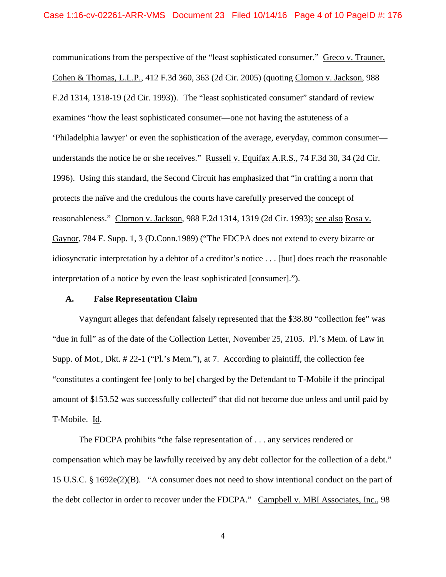communications from the perspective of the "least sophisticated consumer." Greco v. Trauner, Cohen & Thomas, L.L.P., 412 F.3d 360, 363 (2d Cir. 2005) (quoting Clomon v. Jackson, 988 F.2d 1314, 1318-19 (2d Cir. 1993)). The "least sophisticated consumer" standard of review examines "how the least sophisticated consumer—one not having the astuteness of a 'Philadelphia lawyer' or even the sophistication of the average, everyday, common consumer understands the notice he or she receives." Russell v. Equifax A.R.S., 74 F.3d 30, 34 (2d Cir. 1996). Using this standard, the Second Circuit has emphasized that "in crafting a norm that protects the naïve and the credulous the courts have carefully preserved the concept of reasonableness." Clomon v. Jackson, 988 F.2d 1314, 1319 (2d Cir. 1993); see also Rosa v. Gaynor, 784 F. Supp. 1, 3 (D.Conn.1989) ("The FDCPA does not extend to every bizarre or idiosyncratic interpretation by a debtor of a creditor's notice . . . [but] does reach the reasonable interpretation of a notice by even the least sophisticated [consumer].").

## **A. False Representation Claim**

Vayngurt alleges that defendant falsely represented that the \$38.80 "collection fee" was "due in full" as of the date of the Collection Letter, November 25, 2105. Pl.'s Mem. of Law in Supp. of Mot., Dkt. # 22-1 ("Pl.'s Mem."), at 7. According to plaintiff, the collection fee "constitutes a contingent fee [only to be] charged by the Defendant to T-Mobile if the principal amount of \$153.52 was successfully collected" that did not become due unless and until paid by T-Mobile. Id.

The FDCPA prohibits "the false representation of . . . any services rendered or compensation which may be lawfully received by any debt collector for the collection of a debt." 15 U.S.C. § 1692e(2)(B). "A consumer does not need to show intentional conduct on the part of the debt collector in order to recover under the FDCPA." Campbell v. MBI Associates, Inc., 98

4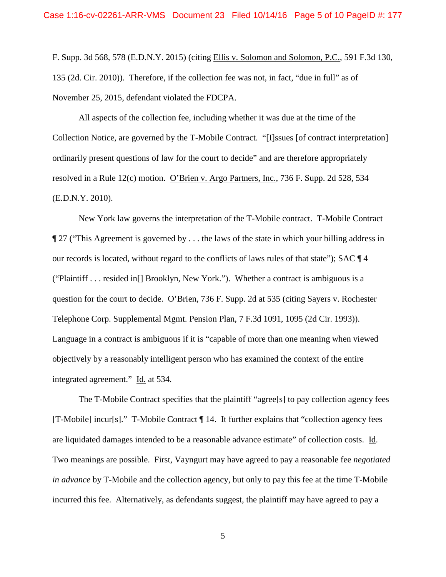F. Supp. 3d 568, 578 (E.D.N.Y. 2015) (citing Ellis v. Solomon and Solomon, P.C., 591 F.3d 130, 135 (2d. Cir. 2010)). Therefore, if the collection fee was not, in fact, "due in full" as of November 25, 2015, defendant violated the FDCPA.

All aspects of the collection fee, including whether it was due at the time of the Collection Notice, are governed by the T-Mobile Contract. "[I]ssues [of contract interpretation] ordinarily present questions of law for the court to decide" and are therefore appropriately resolved in a Rule 12(c) motion. O'Brien v. Argo Partners, Inc., 736 F. Supp. 2d 528, 534 (E.D.N.Y. 2010).

New York law governs the interpretation of the T-Mobile contract. T-Mobile Contract ¶ 27 ("This Agreement is governed by . . . the laws of the state in which your billing address in our records is located, without regard to the conflicts of laws rules of that state"); SAC ¶ 4 ("Plaintiff . . . resided in[] Brooklyn, New York."). Whether a contract is ambiguous is a question for the court to decide. O'Brien, 736 F. Supp. 2d at 535 (citing Sayers v. Rochester Telephone Corp. Supplemental Mgmt. Pension Plan, 7 F.3d 1091, 1095 (2d Cir. 1993)). Language in a contract is ambiguous if it is "capable of more than one meaning when viewed objectively by a reasonably intelligent person who has examined the context of the entire integrated agreement." Id. at 534.

The T-Mobile Contract specifies that the plaintiff "agree[s] to pay collection agency fees [T-Mobile] incur[s]." T-Mobile Contract ¶ 14. It further explains that "collection agency fees are liquidated damages intended to be a reasonable advance estimate" of collection costs. Id. Two meanings are possible. First, Vayngurt may have agreed to pay a reasonable fee *negotiated in advance* by T-Mobile and the collection agency, but only to pay this fee at the time T-Mobile incurred this fee. Alternatively, as defendants suggest, the plaintiff may have agreed to pay a

5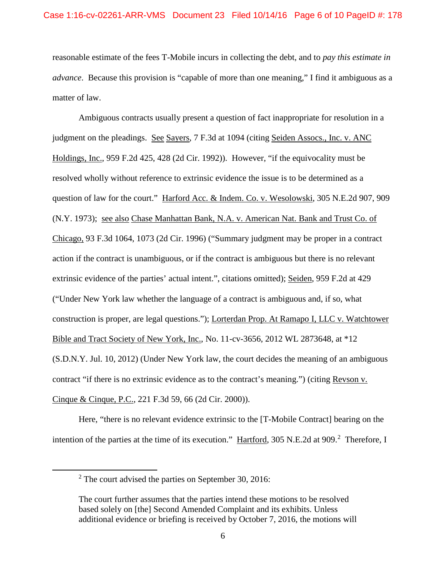reasonable estimate of the fees T-Mobile incurs in collecting the debt, and to *pay this estimate in advance*. Because this provision is "capable of more than one meaning," I find it ambiguous as a matter of law.

Ambiguous contracts usually present a question of fact inappropriate for resolution in a judgment on the pleadings. See Sayers, 7 F.3d at 1094 (citing Seiden Assocs., Inc. v. ANC Holdings, Inc., 959 F.2d 425, 428 (2d Cir. 1992)). However, "if the equivocality must be resolved wholly without reference to extrinsic evidence the issue is to be determined as a question of law for the court." Harford Acc. & Indem. Co. v. Wesolowski, 305 N.E.2d 907, 909 (N.Y. 1973); see also Chase Manhattan Bank, N.A. v. American Nat. Bank and Trust Co. of Chicago, 93 F.3d 1064, 1073 (2d Cir. 1996) ("Summary judgment may be proper in a contract action if the contract is unambiguous, or if the contract is ambiguous but there is no relevant extrinsic evidence of the parties' actual intent.", citations omitted); Seiden, 959 F.2d at 429 ("Under New York law whether the language of a contract is ambiguous and, if so, what construction is proper, are legal questions."); Lorterdan Prop. At Ramapo I, LLC v. Watchtower Bible and Tract Society of New York, Inc., No. 11-cv-3656, 2012 WL 2873648, at \*12 (S.D.N.Y. Jul. 10, 2012) (Under New York law, the court decides the meaning of an ambiguous contract "if there is no extrinsic evidence as to the contract's meaning.") (citing Revson v. Cinque & Cinque, P.C., 221 F.3d 59, 66 (2d Cir. 2000)).

Here, "there is no relevant evidence extrinsic to the [T-Mobile Contract] bearing on the intention of the parties at the time of its execution." Hartford, 305 N.E.[2](#page-5-0)d at 909.<sup>2</sup> Therefore, I

<span id="page-5-0"></span> <sup>2</sup> The court advised the parties on September 30, 2016:

The court further assumes that the parties intend these motions to be resolved based solely on [the] Second Amended Complaint and its exhibits. Unless additional evidence or briefing is received by October 7, 2016, the motions will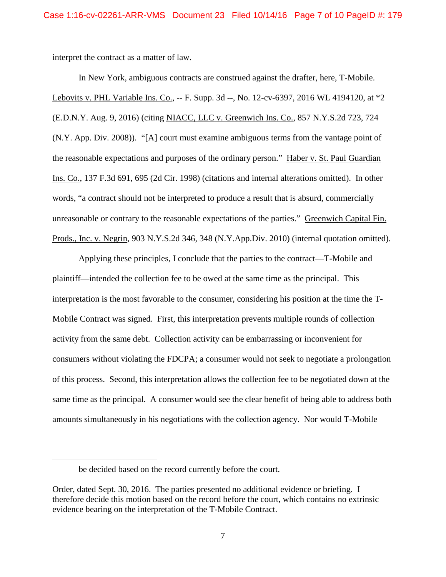interpret the contract as a matter of law.

In New York, ambiguous contracts are construed against the drafter, here, T-Mobile. Lebovits v. PHL Variable Ins. Co., -- F. Supp. 3d --, No. 12-cv-6397, 2016 WL 4194120, at \*2 (E.D.N.Y. Aug. 9, 2016) (citing NIACC, LLC v. Greenwich Ins. Co., 857 N.Y.S.2d 723, 724 (N.Y. App. Div. 2008)). "[A] court must examine ambiguous terms from the vantage point of the reasonable expectations and purposes of the ordinary person." Haber v. St. Paul Guardian Ins. Co., 137 F.3d 691, 695 (2d Cir. 1998) (citations and internal alterations omitted). In other words, "a contract should not be interpreted to produce a result that is absurd, commercially unreasonable or contrary to the reasonable expectations of the parties." Greenwich Capital Fin. Prods., Inc. v. Negrin*,* 903 N.Y.S.2d 346, 348 (N.Y.App.Div. 2010) (internal quotation omitted).

Applying these principles, I conclude that the parties to the contract—T-Mobile and plaintiff—intended the collection fee to be owed at the same time as the principal. This interpretation is the most favorable to the consumer, considering his position at the time the T-Mobile Contract was signed. First, this interpretation prevents multiple rounds of collection activity from the same debt. Collection activity can be embarrassing or inconvenient for consumers without violating the FDCPA; a consumer would not seek to negotiate a prolongation of this process. Second, this interpretation allows the collection fee to be negotiated down at the same time as the principal. A consumer would see the clear benefit of being able to address both amounts simultaneously in his negotiations with the collection agency. Nor would T-Mobile

 $\overline{a}$ 

be decided based on the record currently before the court.

Order, dated Sept. 30, 2016. The parties presented no additional evidence or briefing. I therefore decide this motion based on the record before the court, which contains no extrinsic evidence bearing on the interpretation of the T-Mobile Contract.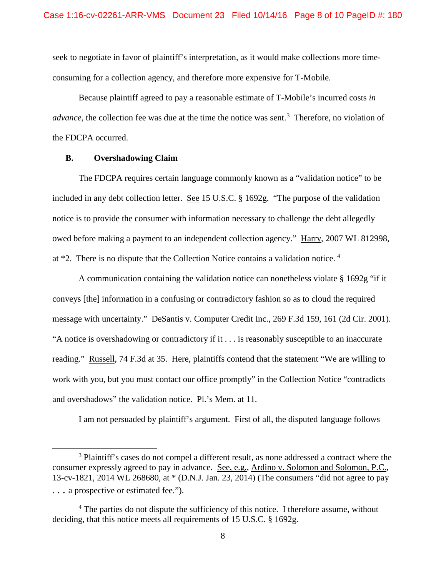seek to negotiate in favor of plaintiff's interpretation, as it would make collections more timeconsuming for a collection agency, and therefore more expensive for T-Mobile.

Because plaintiff agreed to pay a reasonable estimate of T-Mobile's incurred costs *in advance*, the collection fee was due at the time the notice was sent.<sup>[3](#page-7-0)</sup> Therefore, no violation of the FDCPA occurred.

### **B. Overshadowing Claim**

The FDCPA requires certain language commonly known as a "validation notice" to be included in any debt collection letter. <u>See</u> 15 U.S.C. § 1692g. "The purpose of the validation notice is to provide the consumer with information necessary to challenge the debt allegedly owed before making a payment to an independent collection agency." Harry, 2007 WL 812998, at \*2. There is no dispute that the Collection Notice contains a validation notice. [4](#page-7-1)

A communication containing the validation notice can nonetheless violate  $\S 1692g$  "if it conveys [the] information in a confusing or contradictory fashion so as to cloud the required message with uncertainty." DeSantis v. Computer Credit Inc., 269 F.3d 159, 161 (2d Cir. 2001). "A notice is overshadowing or contradictory if it . . . is reasonably susceptible to an inaccurate reading." Russell, 74 F.3d at 35. Here, plaintiffs contend that the statement "We are willing to work with you, but you must contact our office promptly" in the Collection Notice "contradicts and overshadows" the validation notice. Pl.'s Mem. at 11.

I am not persuaded by plaintiff's argument. First of all, the disputed language follows

<span id="page-7-0"></span><sup>&</sup>lt;sup>3</sup> Plaintiff's cases do not compel a different result, as none addressed a contract where the consumer expressly agreed to pay in advance. See, e.g., Ardino v. Solomon and Solomon, P.C., 13-cv-1821, 2014 WL 268680, at \* (D.N.J. Jan. 23, 2014) (The consumers "did not agree to pay . . . a prospective or estimated fee.").

<span id="page-7-1"></span><sup>&</sup>lt;sup>4</sup> The parties do not dispute the sufficiency of this notice. I therefore assume, without deciding, that this notice meets all requirements of 15 U.S.C. § 1692g.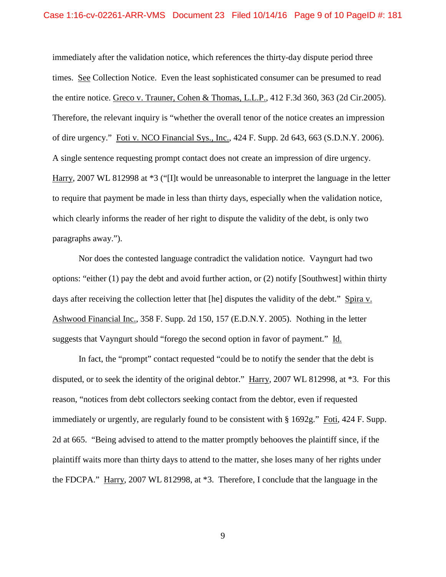immediately after the validation notice, which references the thirty-day dispute period three times. See Collection Notice. Even the least sophisticated consumer can be presumed to read the entire notice. Greco v. Trauner, Cohen & Thomas, L.L.P., 412 F.3d 360, 363 (2d Cir.2005). Therefore, the relevant inquiry is "whether the overall tenor of the notice creates an impression of dire urgency." Foti v. NCO Financial Sys., Inc., 424 F. Supp. 2d 643, 663 (S.D.N.Y. 2006). A single sentence requesting prompt contact does not create an impression of dire urgency. Harry, 2007 WL 812998 at \*3 ("[I]t would be unreasonable to interpret the language in the letter to require that payment be made in less than thirty days, especially when the validation notice, which clearly informs the reader of her right to dispute the validity of the debt, is only two paragraphs away.").

Nor does the contested language contradict the validation notice. Vayngurt had two options: "either (1) pay the debt and avoid further action, or (2) notify [Southwest] within thirty days after receiving the collection letter that [he] disputes the validity of the debt." Spira v. Ashwood Financial Inc., 358 F. Supp. 2d 150, 157 (E.D.N.Y. 2005). Nothing in the letter suggests that Vayngurt should "forego the second option in favor of payment." Id.

In fact, the "prompt" contact requested "could be to notify the sender that the debt is disputed, or to seek the identity of the original debtor." Harry, 2007 WL 812998, at \*3. For this reason, "notices from debt collectors seeking contact from the debtor, even if requested immediately or urgently, are regularly found to be consistent with § 1692g." Foti, 424 F. Supp. 2d at 665. "Being advised to attend to the matter promptly behooves the plaintiff since, if the plaintiff waits more than thirty days to attend to the matter, she loses many of her rights under the FDCPA." Harry, 2007 WL 812998, at \*3. Therefore, I conclude that the language in the

9